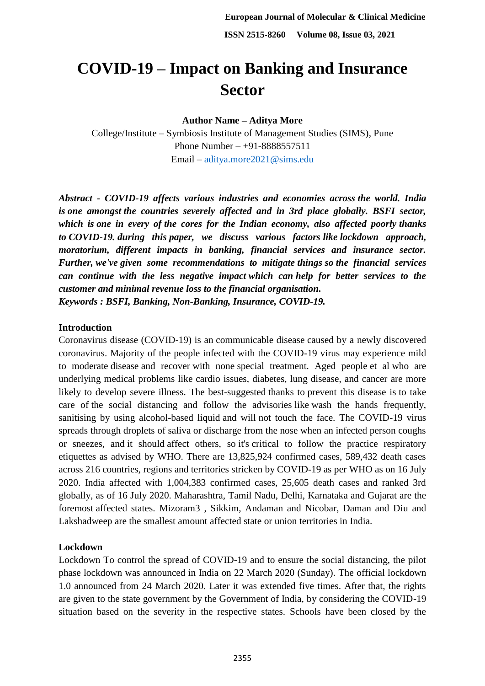# **COVID-19 – Impact on Banking and Insurance Sector**

**Author Name – Aditya More**

College/Institute – Symbiosis Institute of Management Studies (SIMS), Pune Phone Number – +91-8888557511 Email – [aditya.more2021@sims.edu](mailto:aditya.more2021@sims.edu)

*Abstract - COVID-19 affects various industries and economies across the world. India is one amongst the countries severely affected and in 3rd place globally. BSFI sector, which is one in every of the cores for the Indian economy, also affected poorly thanks to COVID-19. during this paper, we discuss various factors like lockdown approach, moratorium, different impacts in banking, financial services and insurance sector. Further, we've given some recommendations to mitigate things so the financial services can continue with the less negative impact which can help for better services to the customer and minimal revenue loss to the financial organisation. Keywords : BSFI, Banking, Non-Banking, Insurance, COVID-19.*

# **Introduction**

Coronavirus disease (COVID-19) is an communicable disease caused by a newly discovered coronavirus. Majority of the people infected with the COVID-19 virus may experience mild to moderate disease and recover with none special treatment. Aged people et al who are underlying medical problems like cardio issues, diabetes, lung disease, and cancer are more likely to develop severe illness. The best-suggested thanks to prevent this disease is to take care of the social distancing and follow the advisories like wash the hands frequently, sanitising by using alcohol-based liquid and will not touch the face. The COVID-19 virus spreads through droplets of saliva or discharge from the nose when an infected person coughs or sneezes, and it should affect others, so it's critical to follow the practice respiratory etiquettes as advised by WHO. There are 13,825,924 confirmed cases, 589,432 death cases across 216 countries, regions and territories stricken by COVID-19 as per WHO as on 16 July 2020. India affected with 1,004,383 confirmed cases, 25,605 death cases and ranked 3rd globally, as of 16 July 2020. Maharashtra, Tamil Nadu, Delhi, Karnataka and Gujarat are the foremost affected states. Mizoram3 , Sikkim, Andaman and Nicobar, Daman and Diu and Lakshadweep are the smallest amount affected state or union territories in India.

# **Lockdown**

Lockdown To control the spread of COVID-19 and to ensure the social distancing, the pilot phase lockdown was announced in India on 22 March 2020 (Sunday). The official lockdown 1.0 announced from 24 March 2020. Later it was extended five times. After that, the rights are given to the state government by the Government of India, by considering the COVID-19 situation based on the severity in the respective states. Schools have been closed by the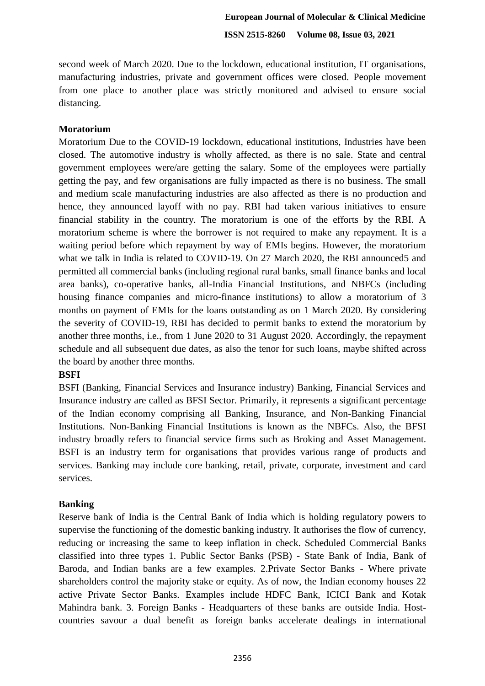second week of March 2020. Due to the lockdown, educational institution, IT organisations, manufacturing industries, private and government offices were closed. People movement from one place to another place was strictly monitored and advised to ensure social distancing.

## **Moratorium**

Moratorium Due to the COVID-19 lockdown, educational institutions, Industries have been closed. The automotive industry is wholly affected, as there is no sale. State and central government employees were/are getting the salary. Some of the employees were partially getting the pay, and few organisations are fully impacted as there is no business. The small and medium scale manufacturing industries are also affected as there is no production and hence, they announced layoff with no pay. RBI had taken various initiatives to ensure financial stability in the country. The moratorium is one of the efforts by the RBI. A moratorium scheme is where the borrower is not required to make any repayment. It is a waiting period before which repayment by way of EMIs begins. However, the moratorium what we talk in India is related to COVID-19. On 27 March 2020, the RBI announced5 and permitted all commercial banks (including regional rural banks, small finance banks and local area banks), co-operative banks, all-India Financial Institutions, and NBFCs (including housing finance companies and micro-finance institutions) to allow a moratorium of 3 months on payment of EMIs for the loans outstanding as on 1 March 2020. By considering the severity of COVID-19, RBI has decided to permit banks to extend the moratorium by another three months, i.e., from 1 June 2020 to 31 August 2020. Accordingly, the repayment schedule and all subsequent due dates, as also the tenor for such loans, maybe shifted across the board by another three months.

## **BSFI**

BSFI (Banking, Financial Services and Insurance industry) Banking, Financial Services and Insurance industry are called as BFSI Sector. Primarily, it represents a significant percentage of the Indian economy comprising all Banking, Insurance, and Non-Banking Financial Institutions. Non-Banking Financial Institutions is known as the NBFCs. Also, the BFSI industry broadly refers to financial service firms such as Broking and Asset Management. BSFI is an industry term for organisations that provides various range of products and services. Banking may include core banking, retail, private, corporate, investment and card services.

#### **Banking**

Reserve bank of India is the Central Bank of India which is holding regulatory powers to supervise the functioning of the domestic banking industry. It authorises the flow of currency, reducing or increasing the same to keep inflation in check. Scheduled Commercial Banks classified into three types 1. Public Sector Banks (PSB) - State Bank of India, Bank of Baroda, and Indian banks are a few examples. 2.Private Sector Banks - Where private shareholders control the majority stake or equity. As of now, the Indian economy houses 22 active Private Sector Banks. Examples include HDFC Bank, ICICI Bank and Kotak Mahindra bank. 3. Foreign Banks - Headquarters of these banks are outside India. Hostcountries savour a dual benefit as foreign banks accelerate dealings in international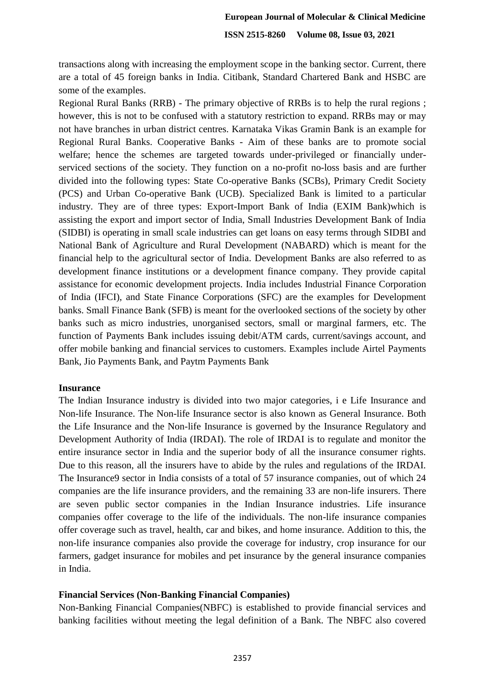transactions along with increasing the employment scope in the banking sector. Current, there are a total of 45 foreign banks in India. Citibank, Standard Chartered Bank and HSBC are some of the examples.

Regional Rural Banks (RRB) - The primary objective of RRBs is to help the rural regions ; however, this is not to be confused with a statutory restriction to expand. RRBs may or may not have branches in urban district centres. Karnataka Vikas Gramin Bank is an example for Regional Rural Banks. Cooperative Banks - Aim of these banks are to promote social welfare; hence the schemes are targeted towards under-privileged or financially underserviced sections of the society. They function on a no-profit no-loss basis and are further divided into the following types: State Co-operative Banks (SCBs), Primary Credit Society (PCS) and Urban Co-operative Bank (UCB). Specialized Bank is limited to a particular industry. They are of three types: Export-Import Bank of India (EXIM Bank)which is assisting the export and import sector of India, Small Industries Development Bank of India (SIDBI) is operating in small scale industries can get loans on easy terms through SIDBI and National Bank of Agriculture and Rural Development (NABARD) which is meant for the financial help to the agricultural sector of India. Development Banks are also referred to as development finance institutions or a development finance company. They provide capital assistance for economic development projects. India includes Industrial Finance Corporation of India (IFCI), and State Finance Corporations (SFC) are the examples for Development banks. Small Finance Bank (SFB) is meant for the overlooked sections of the society by other banks such as micro industries, unorganised sectors, small or marginal farmers, etc. The function of Payments Bank includes issuing debit/ATM cards, current/savings account, and offer mobile banking and financial services to customers. Examples include Airtel Payments Bank, Jio Payments Bank, and Paytm Payments Bank

#### **Insurance**

The Indian Insurance industry is divided into two major categories, i e Life Insurance and Non-life Insurance. The Non-life Insurance sector is also known as General Insurance. Both the Life Insurance and the Non-life Insurance is governed by the Insurance Regulatory and Development Authority of India (IRDAI). The role of IRDAI is to regulate and monitor the entire insurance sector in India and the superior body of all the insurance consumer rights. Due to this reason, all the insurers have to abide by the rules and regulations of the IRDAI. The Insurance9 sector in India consists of a total of 57 insurance companies, out of which 24 companies are the life insurance providers, and the remaining 33 are non-life insurers. There are seven public sector companies in the Indian Insurance industries. Life insurance companies offer coverage to the life of the individuals. The non-life insurance companies offer coverage such as travel, health, car and bikes, and home insurance. Addition to this, the non-life insurance companies also provide the coverage for industry, crop insurance for our farmers, gadget insurance for mobiles and pet insurance by the general insurance companies in India.

#### **Financial Services (Non-Banking Financial Companies)**

Non-Banking Financial Companies(NBFC) is established to provide financial services and banking facilities without meeting the legal definition of a Bank. The NBFC also covered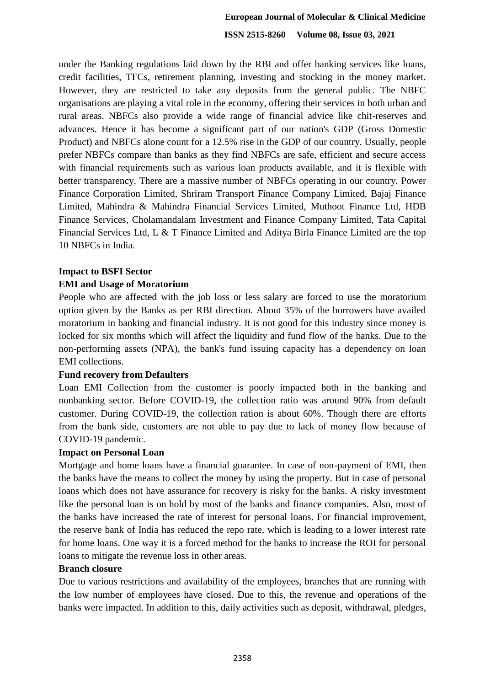under the Banking regulations laid down by the RBI and offer banking services like loans, credit facilities, TFCs, retirement planning, investing and stocking in the money market. However, they are restricted to take any deposits from the general public. The NBFC organisations are playing a vital role in the economy, offering their services in both urban and rural areas. NBFCs also provide a wide range of financial advice like chit-reserves and advances. Hence it has become a significant part of our nation's GDP (Gross Domestic Product) and NBFCs alone count for a 12.5% rise in the GDP of our country. Usually, people prefer NBFCs compare than banks as they find NBFCs are safe, efficient and secure access with financial requirements such as various loan products available, and it is flexible with better transparency. There are a massive number of NBFCs operating in our country. Power Finance Corporation Limited, Shriram Transport Finance Company Limited, Bajaj Finance Limited, Mahindra & Mahindra Financial Services Limited, Muthoot Finance Ltd, HDB Finance Services, Cholamandalam Investment and Finance Company Limited, Tata Capital Financial Services Ltd, L & T Finance Limited and Aditya Birla Finance Limited are the top 10 NBFCs in India.

## **Impact to BSFI Sector**

## **EMI and Usage of Moratorium**

People who are affected with the job loss or less salary are forced to use the moratorium option given by the Banks as per RBI direction. About 35% of the borrowers have availed moratorium in banking and financial industry. It is not good for this industry since money is locked for six months which will affect the liquidity and fund flow of the banks. Due to the non-performing assets (NPA), the bank's fund issuing capacity has a dependency on loan EMI collections.

## **Fund recovery from Defaulters**

Loan EMI Collection from the customer is poorly impacted both in the banking and nonbanking sector. Before COVID-19, the collection ratio was around 90% from default customer. During COVID-19, the collection ration is about 60%. Though there are efforts from the bank side, customers are not able to pay due to lack of money flow because of COVID-19 pandemic.

## **Impact on Personal Loan**

Mortgage and home loans have a financial guarantee. In case of non-payment of EMI, then the banks have the means to collect the money by using the property. But in case of personal loans which does not have assurance for recovery is risky for the banks. A risky investment like the personal loan is on hold by most of the banks and finance companies. Also, most of the banks have increased the rate of interest for personal loans. For financial improvement, the reserve bank of India has reduced the repo rate, which is leading to a lower interest rate for home loans. One way it is a forced method for the banks to increase the ROI for personal loans to mitigate the revenue loss in other areas.

## **Branch closure**

Due to various restrictions and availability of the employees, branches that are running with the low number of employees have closed. Due to this, the revenue and operations of the banks were impacted. In addition to this, daily activities such as deposit, withdrawal, pledges,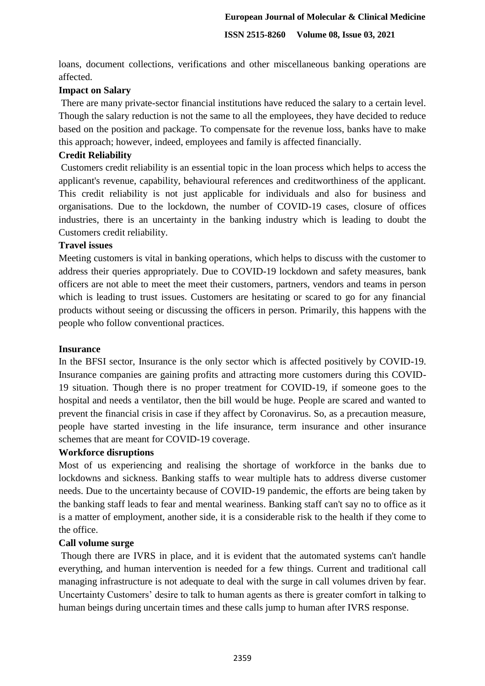loans, document collections, verifications and other miscellaneous banking operations are affected.

## **Impact on Salary**

There are many private-sector financial institutions have reduced the salary to a certain level. Though the salary reduction is not the same to all the employees, they have decided to reduce based on the position and package. To compensate for the revenue loss, banks have to make this approach; however, indeed, employees and family is affected financially.

## **Credit Reliability**

Customers credit reliability is an essential topic in the loan process which helps to access the applicant's revenue, capability, behavioural references and creditworthiness of the applicant. This credit reliability is not just applicable for individuals and also for business and organisations. Due to the lockdown, the number of COVID-19 cases, closure of offices industries, there is an uncertainty in the banking industry which is leading to doubt the Customers credit reliability.

## **Travel issues**

Meeting customers is vital in banking operations, which helps to discuss with the customer to address their queries appropriately. Due to COVID-19 lockdown and safety measures, bank officers are not able to meet the meet their customers, partners, vendors and teams in person which is leading to trust issues. Customers are hesitating or scared to go for any financial products without seeing or discussing the officers in person. Primarily, this happens with the people who follow conventional practices.

## **Insurance**

In the BFSI sector, Insurance is the only sector which is affected positively by COVID-19. Insurance companies are gaining profits and attracting more customers during this COVID-19 situation. Though there is no proper treatment for COVID-19, if someone goes to the hospital and needs a ventilator, then the bill would be huge. People are scared and wanted to prevent the financial crisis in case if they affect by Coronavirus. So, as a precaution measure, people have started investing in the life insurance, term insurance and other insurance schemes that are meant for COVID-19 coverage.

## **Workforce disruptions**

Most of us experiencing and realising the shortage of workforce in the banks due to lockdowns and sickness. Banking staffs to wear multiple hats to address diverse customer needs. Due to the uncertainty because of COVID-19 pandemic, the efforts are being taken by the banking staff leads to fear and mental weariness. Banking staff can't say no to office as it is a matter of employment, another side, it is a considerable risk to the health if they come to the office.

## **Call volume surge**

Though there are IVRS in place, and it is evident that the automated systems can't handle everything, and human intervention is needed for a few things. Current and traditional call managing infrastructure is not adequate to deal with the surge in call volumes driven by fear. Uncertainty Customers' desire to talk to human agents as there is greater comfort in talking to human beings during uncertain times and these calls jump to human after IVRS response.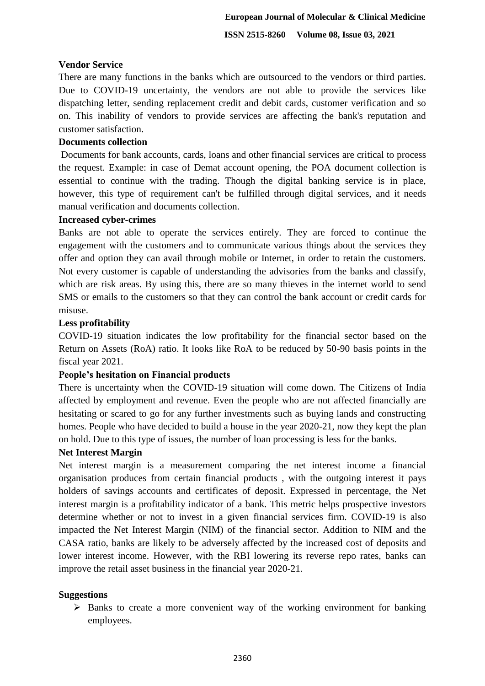#### **Vendor Service**

There are many functions in the banks which are outsourced to the vendors or third parties. Due to COVID-19 uncertainty, the vendors are not able to provide the services like dispatching letter, sending replacement credit and debit cards, customer verification and so on. This inability of vendors to provide services are affecting the bank's reputation and customer satisfaction.

## **Documents collection**

Documents for bank accounts, cards, loans and other financial services are critical to process the request. Example: in case of Demat account opening, the POA document collection is essential to continue with the trading. Though the digital banking service is in place, however, this type of requirement can't be fulfilled through digital services, and it needs manual verification and documents collection.

#### **Increased cyber-crimes**

Banks are not able to operate the services entirely. They are forced to continue the engagement with the customers and to communicate various things about the services they offer and option they can avail through mobile or Internet, in order to retain the customers. Not every customer is capable of understanding the advisories from the banks and classify, which are risk areas. By using this, there are so many thieves in the internet world to send SMS or emails to the customers so that they can control the bank account or credit cards for misuse.

#### **Less profitability**

COVID-19 situation indicates the low profitability for the financial sector based on the Return on Assets (RoA) ratio. It looks like RoA to be reduced by 50-90 basis points in the fiscal year 2021.

## **People's hesitation on Financial products**

There is uncertainty when the COVID-19 situation will come down. The Citizens of India affected by employment and revenue. Even the people who are not affected financially are hesitating or scared to go for any further investments such as buying lands and constructing homes. People who have decided to build a house in the year 2020-21, now they kept the plan on hold. Due to this type of issues, the number of loan processing is less for the banks.

## **Net Interest Margin**

Net interest margin is a measurement comparing the net interest income a financial organisation produces from certain financial products , with the outgoing interest it pays holders of savings accounts and certificates of deposit. Expressed in percentage, the Net interest margin is a profitability indicator of a bank. This metric helps prospective investors determine whether or not to invest in a given financial services firm. COVID-19 is also impacted the Net Interest Margin (NIM) of the financial sector. Addition to NIM and the CASA ratio, banks are likely to be adversely affected by the increased cost of deposits and lower interest income. However, with the RBI lowering its reverse repo rates, banks can improve the retail asset business in the financial year 2020-21.

## **Suggestions**

 $\triangleright$  Banks to create a more convenient way of the working environment for banking employees.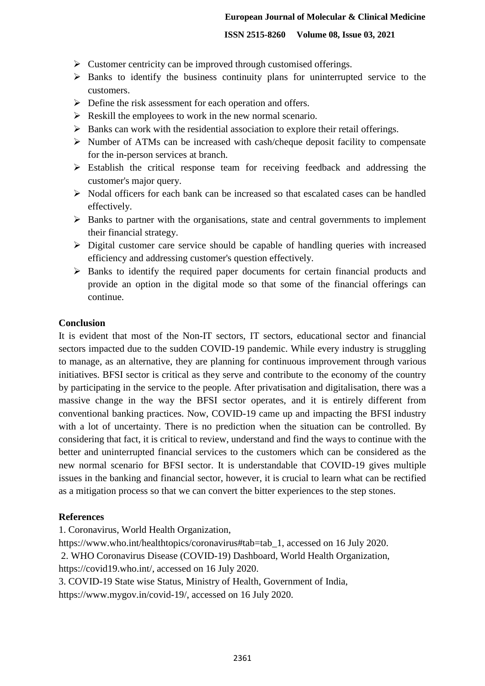- $\triangleright$  Customer centricity can be improved through customised offerings.
- $\triangleright$  Banks to identify the business continuity plans for uninterrupted service to the customers.
- $\triangleright$  Define the risk assessment for each operation and offers.
- $\triangleright$  Reskill the employees to work in the new normal scenario.
- $\triangleright$  Banks can work with the residential association to explore their retail offerings.
- $\triangleright$  Number of ATMs can be increased with cash/cheque deposit facility to compensate for the in-person services at branch.
- Establish the critical response team for receiving feedback and addressing the customer's major query.
- $\triangleright$  Nodal officers for each bank can be increased so that escalated cases can be handled effectively.
- $\triangleright$  Banks to partner with the organisations, state and central governments to implement their financial strategy.
- $\triangleright$  Digital customer care service should be capable of handling queries with increased efficiency and addressing customer's question effectively.
- $\triangleright$  Banks to identify the required paper documents for certain financial products and provide an option in the digital mode so that some of the financial offerings can continue.

## **Conclusion**

It is evident that most of the Non-IT sectors, IT sectors, educational sector and financial sectors impacted due to the sudden COVID-19 pandemic. While every industry is struggling to manage, as an alternative, they are planning for continuous improvement through various initiatives. BFSI sector is critical as they serve and contribute to the economy of the country by participating in the service to the people. After privatisation and digitalisation, there was a massive change in the way the BFSI sector operates, and it is entirely different from conventional banking practices. Now, COVID-19 came up and impacting the BFSI industry with a lot of uncertainty. There is no prediction when the situation can be controlled. By considering that fact, it is critical to review, understand and find the ways to continue with the better and uninterrupted financial services to the customers which can be considered as the new normal scenario for BFSI sector. It is understandable that COVID-19 gives multiple issues in the banking and financial sector, however, it is crucial to learn what can be rectified as a mitigation process so that we can convert the bitter experiences to the step stones.

# **References**

1. Coronavirus, World Health Organization,

https://www.who.int/healthtopics/coronavirus#tab=tab\_1, accessed on 16 July 2020.

2. WHO Coronavirus Disease (COVID-19) Dashboard, World Health Organization,

https://covid19.who.int/, accessed on 16 July 2020.

3. COVID-19 State wise Status, Ministry of Health, Government of India,

https://www.mygov.in/covid-19/, accessed on 16 July 2020.